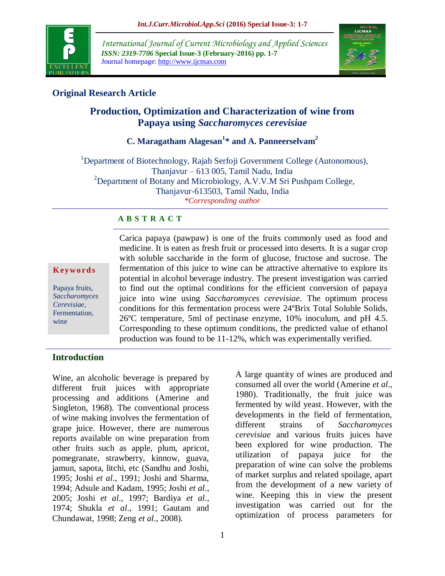

*International Journal of Current Microbiology and Applied Sciences ISSN: 2319-7706* **Special Issue-3 (February-2016) pp. 1-7** Journal homepage: http://www.ijcmas.com



## **Original Research Article**

# **Production, Optimization and Characterization of wine from Papaya using** *Saccharomyces cerevisiae*

**C. Maragatham Alagesan<sup>1</sup> \* and A. Panneerselvam<sup>2</sup>**

<sup>1</sup>Department of Biotechnology, Rajah Serfoji Government College (Autonomous), Thanjavur – 613 005, Tamil Nadu, India <sup>2</sup>Department of Botany and Microbiology, A.V.V.M Sri Pushpam College, Thanjavur-613503, Tamil Nadu, India *\*Corresponding author*

### **A B S T R A C T**

#### **K ey w o rd s**

Papaya fruits, *Saccharomyces Cerevisiae*, Fermentation, wine

Carica papaya (pawpaw) is one of the fruits commonly used as food and medicine. It is eaten as fresh fruit or processed into deserts. It is a sugar crop with soluble saccharide in the form of glucose, fructose and sucrose. The fermentation of this juice to wine can be attractive alternative to explore its potential in alcohol beverage industry. The present investigation was carried to find out the optimal conditions for the efficient conversion of papaya juice into wine using *Saccharomyces cerevisiae*. The optimum process conditions for this fermentation process were 24ºBrix Total Soluble Solids, 26ºC temperature, 5ml of pectinase enzyme, 10% inoculum, and pH 4.5. Corresponding to these optimum conditions, the predicted value of ethanol production was found to be 11-12%, which was experimentally verified.

### **Introduction**

Wine, an alcoholic beverage is prepared by different fruit juices with appropriate processing and additions (Amerine and Singleton, 1968). The conventional process of wine making involves the fermentation of grape juice. However, there are numerous reports available on wine preparation from other fruits such as apple, plum, apricot, pomegranate, strawberry, kinnow, guava, jamun, sapota, litchi, etc (Sandhu and Joshi, 1995; Joshi *et al*., 1991; Joshi and Sharma, 1994; Adsule and Kadam, 1995; Joshi *et al*., 2005; Joshi *et al*., 1997; Bardiya *et al*., 1974; Shukla *et al*., 1991; Gautam and Chundawat, 1998; Zeng *et al*., 2008).

A large quantity of wines are produced and consumed all over the world (Amerine *et al*., 1980). Traditionally, the fruit juice was fermented by wild yeast. However, with the developments in the field of fermentation, different strains of *Saccharomyces cerevisiae* and various fruits juices have been explored for wine production. The utilization of papaya juice for the preparation of wine can solve the problems of market surplus and related spoilage, apart from the development of a new variety of wine. Keeping this in view the present investigation was carried out for the optimization of process parameters for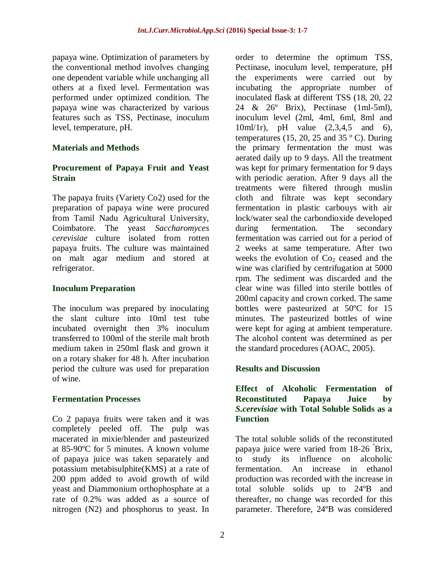papaya wine. Optimization of parameters by the conventional method involves changing one dependent variable while unchanging all others at a fixed level. Fermentation was performed under optimized condition. The papaya wine was characterized by various features such as TSS, Pectinase, inoculum level, temperature, pH.

### **Materials and Methods**

## **Procurement of Papaya Fruit and Yeast Strain**

The papaya fruits (Variety Co2) used for the preparation of papaya wine were procured from Tamil Nadu Agricultural University, Coimbatore. The yeast *Saccharomyces cerevisiae* culture isolated from rotten papaya fruits. The culture was maintained on malt agar medium and stored at refrigerator.

### **Inoculum Preparation**

The inoculum was prepared by inoculating the slant culture into 10ml test tube incubated overnight then 3% inoculum transferred to 100ml of the sterile malt broth medium taken in 250ml flask and grown it on a rotary shaker for 48 h. After incubation period the culture was used for preparation of wine.

### **Fermentation Processes**

Co 2 papaya fruits were taken and it was completely peeled off. The pulp was macerated in mixie/blender and pasteurized at 85-90ºC for 5 minutes. A known volume of papaya juice was taken separately and potassium metabisulphite(KMS) at a rate of 200 ppm added to avoid growth of wild yeast and Diammonium orthophosphate at a rate of 0.2% was added as a source of nitrogen (N2) and phosphorus to yeast. In

order to determine the optimum TSS, Pectinase, inoculum level, temperature, pH the experiments were carried out by incubating the appropriate number of inoculated flask at different TSS (18, 20, 22 24 & 26º Brix), Pectinase (1ml-5ml), inoculum level (2ml, 4ml, 6ml, 8ml and 10ml/1r), pH value (2,3,4,5 and 6), temperatures (15, 20, 25 and 35  $^{\circ}$  C). During the primary fermentation the must was aerated daily up to 9 days. All the treatment was kept for primary fermentation for 9 days with periodic aeration. After 9 days all the treatments were filtered through muslin cloth and filtrate was kept secondary fermentation in plastic carbouys with air lock/water seal the carbondioxide developed during fermentation. The secondary fermentation was carried out for a period of 2 weeks at same temperature. After two weeks the evolution of  $Co<sub>2</sub>$  ceased and the wine was clarified by centrifugation at 5000 rpm. The sediment was discarded and the clear wine was filled into sterile bottles of 200ml capacity and crown corked. The same bottles were pasteurized at 50ºC for 15 minutes. The pasteurized bottles of wine were kept for aging at ambient temperature. The alcohol content was determined as per the standard procedures (AOAC, 2005).

### **Results and Discussion**

#### **Effect of Alcoholic Fermentation of Reconstituted Papaya Juice by**  *S.cerevisiae* **with Total Soluble Solids as a Function**

The total soluble solids of the reconstituted papaya juice were varied from 18-26 Brix, to study its influence on alcoholic fermentation. An increase in ethanol production was recorded with the increase in total soluble solids up to 24ºB and thereafter, no change was recorded for this parameter. Therefore, 24ºB was considered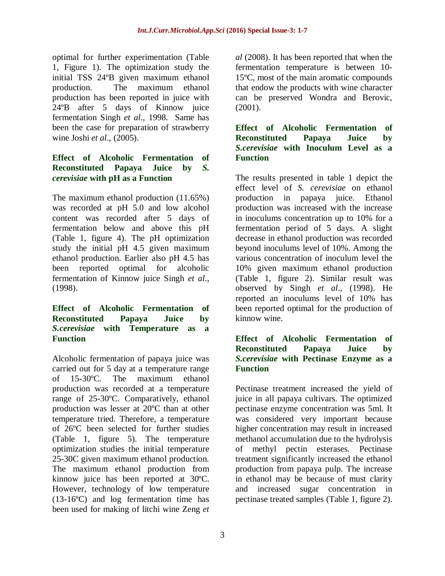optimal for further experimentation (Table 1, Figure 1). The optimization study the initial TSS 24ºB given maximum ethanol production. The maximum ethanol production has been reported in juice with 24ºB after 5 days of Kinnow juice fermentation Singh *et al*., 1998. Same has been the case for preparation of strawberry wine Joshi *et al*., (2005).

## **Effect of Alcoholic Fermentation of Reconstituted Papaya Juice by** *S. cerevisiae* **with pH as a Function**

The maximum ethanol production (11.65%) was recorded at pH 5.0 and low alcohol content was recorded after 5 days of fermentation below and above this pH (Table 1, figure 4). The pH optimization study the initial pH 4.5 given maximum ethanol production. Earlier also pH 4.5 has been reported optimal for alcoholic fermentation of Kinnow juice Singh *et al*., (1998).

### **Effect of Alcoholic Fermentation of Reconstituted Papaya Juice by**  *S.cerevisiae* **with Temperature as a Function**

Alcoholic fermentation of papaya juice was carried out for 5 day at a temperature range of 15-30ºC. The maximum ethanol production was recorded at a temperature range of 25-30ºC. Comparatively, ethanol production was lesser at 20ºC than at other temperature tried. Therefore, a temperature of 26ºC been selected for further studies (Table 1, figure 5). The temperature optimization studies the initial temperature 25-30C given maximum ethanol production. The maximum ethanol production from kinnow juice has been reported at 30ºC. However, technology of low temperature (13-16ºC) and log fermentation time has been used for making of litchi wine Zeng *et*

*al* (2008). It has been reported that when the fermentation temperature is between 10- 15ºC, most of the main aromatic compounds that endow the products with wine character can be preserved Wondra and Berovic, (2001).

### **Effect of Alcoholic Fermentation of Reconstituted Papaya Juice by**  *S.cerevisiae* **with Inoculum Level as a Function**

The results presented in table 1 depict the effect level of *S. cerevisiae* on ethanol production in papaya juice. Ethanol production was increased with the increase in inoculums concentration up to 10% for a fermentation period of 5 days. A slight decrease in ethanol production was recorded beyond inoculums level of 10%. Among the various concentration of inoculum level the 10% given maximum ethanol production (Table 1, figure 2). Similar result was observed by Singh *et al*., (1998). He reported an inoculums level of 10% has been reported optimal for the production of kinnow wine.

#### **Effect of Alcoholic Fermentation of Reconstituted Papaya Juice by**  *S.cerevisiae* **with Pectinase Enzyme as a Function**

Pectinase treatment increased the yield of juice in all papaya cultivars. The optimized pectinase enzyme concentration was 5ml. It was considered very important because higher concentration may result in increased methanol accumulation due to the hydrolysis of methyl pectin esterases. Pectinase treatment significantly increased the ethanol production from papaya pulp. The increase in ethanol may be because of must clarity and increased sugar concentration in pectinase treated samples (Table 1, figure 2).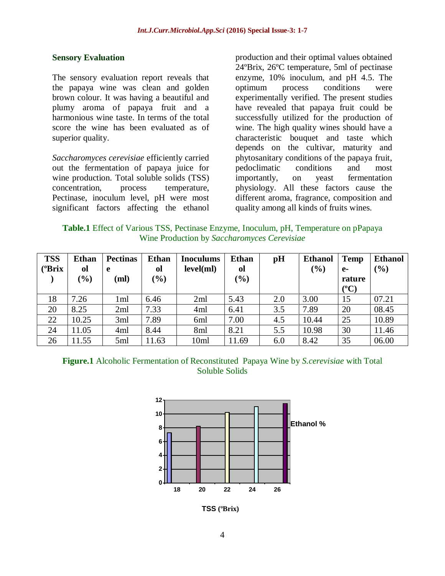#### **Sensory Evaluation**

The sensory evaluation report reveals that the papaya wine was clean and golden brown colour. It was having a beautiful and plumy aroma of papaya fruit and a harmonious wine taste. In terms of the total score the wine has been evaluated as of superior quality.

*Saccharomyces cerevisiae* efficiently carried out the fermentation of papaya juice for wine production. Total soluble solids (TSS) concentration, process temperature, Pectinase, inoculum level, pH were most significant factors affecting the ethanol production and their optimal values obtained 24ºBrix, 26ºC temperature, 5ml of pectinase enzyme, 10% inoculum, and pH 4.5. The optimum process conditions were experimentally verified. The present studies have revealed that papaya fruit could be successfully utilized for the production of wine. The high quality wines should have a characteristic bouquet and taste which depends on the cultivar, maturity and phytosanitary conditions of the papaya fruit, pedoclimatic conditions and most importantly, on yeast fermentation physiology. All these factors cause the different aroma, fragrance, composition and quality among all kinds of fruits wines.

**Table.1** Effect of Various TSS, Pectinase Enzyme, Inoculum, pH, Temperature on pPapaya Wine Production by *Saccharomyces Cerevisiae*

| <b>TSS</b>          | <b>Ethan</b>                 | <b>Pectinas</b> | <b>Ethan</b> | <b>Inoculums</b> | <b>Ethan</b>  | pH  | <b>Ethanol</b> | <b>Temp</b>   | <b>Ethanol</b> |
|---------------------|------------------------------|-----------------|--------------|------------------|---------------|-----|----------------|---------------|----------------|
| ( <sup>o</sup> Brix | <sub>ol</sub>                | e               | ol           | level(ml)        | <sub>ol</sub> |     | (%)            | $e-$          | $(\%)$         |
|                     | $\left( \frac{0}{0} \right)$ | (ml)            | $(\%)$       |                  | $(\%)$        |     |                | rature        |                |
|                     |                              |                 |              |                  |               |     |                | $(^{\circ}C)$ |                |
| 18                  | 7.26                         | 1 <sub>ml</sub> | 6.46         | 2ml              | 5.43          | 2.0 | 3.00           | 15            | 07.21          |
| 20                  | 8.25                         | 2ml             | 7.33         | 4ml              | 6.41          | 3.5 | 7.89           | 20            | 08.45          |
| 22                  | 10.25                        | 3ml             | 7.89         | 6ml              | 7.00          | 4.5 | 10.44          | 25            | 10.89          |
| 24                  | 11.05                        | 4ml             | 8.44         | 8ml              | 8.21          | 5.5 | 10.98          | 30            | 11.46          |
| 26                  | 11.55                        | 5ml             | 11.63        | 10 <sub>ml</sub> | 11.69         | 6.0 | 8.42           | 35            | 06.00          |





**TSS (ºBrix)**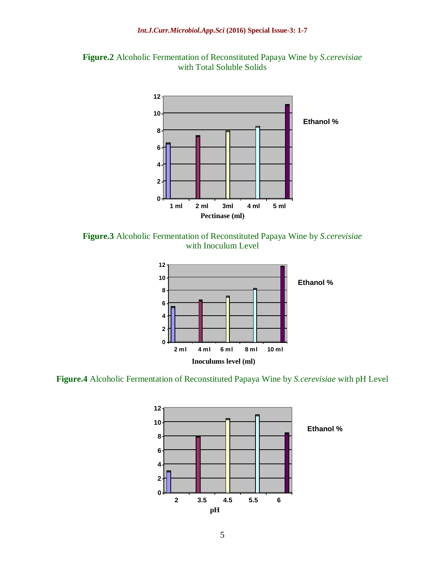



**Figure.3** Alcoholic Fermentation of Reconstituted Papaya Wine by *S.cerevisiae* with Inoculum Level



**Figure.4** Alcoholic Fermentation of Reconstituted Papaya Wine by *S.cerevisiae* with pH Level

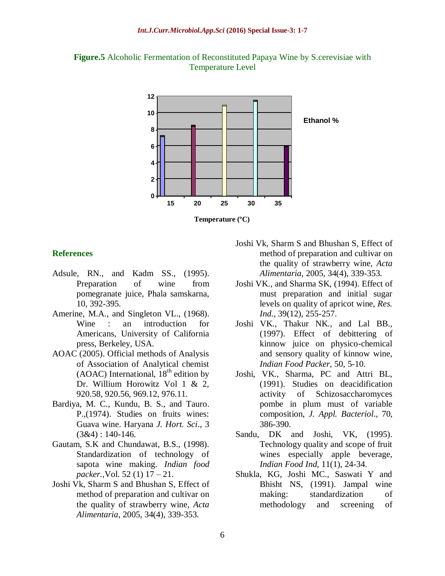



#### **References**

- Adsule, RN., and Kadm SS., (1995). Preparation of wine from pomegranate juice, Phala samskarna, 10, 392-395.
- Amerine, M.A., and Singleton VL., (1968). Wine : an introduction for Americans, University of California press, Berkeley, USA.
- AOAC (2005). Official methods of Analysis of Association of Analytical chemist (AOAC) International,  $18<sup>th</sup>$  edition by Dr. Willium Horowitz Vol 1 & 2, 920.58, 920.56, 969.12, 976.11.
- Bardiya, M. C., Kundu, B. S., and Tauro. P.,(1974). Studies on fruits wines: Guava wine. Haryana *J. Hort. Sci*., 3  $(3&4): 140-146.$
- Gautam, S.K and Chundawat, B.S., (1998). Standardization of technology of sapota wine making. *Indian food packer.,*Vol. 52 (1) 17 – 21.
- Joshi Vk, Sharm S and Bhushan S, Effect of method of preparation and cultivar on the quality of strawberry wine, *Acta Alimentaria*, 2005, 34(4), 339-353.
- Joshi Vk, Sharm S and Bhushan S, Effect of method of preparation and cultivar on the quality of strawberry wine, *Acta Alimentaria*, 2005, 34(4), 339-353.
- Joshi VK., and Sharma SK, (1994). Effect of must preparation and initial sugar levels on quality of apricot wine, *Res. Ind.,* 39(12), 255-257.
- Joshi VK., Thakur NK., and Lal BB., (1997). Effect of debittering of kinnow juice on physico-chemical and sensory quality of kinnow wine, *Indian Food Packer*, 50, 5-10.
- Joshi, VK., Sharma, PC and Attri BL, (1991). Studies on deacidification activity of Schizosaccharomyces pombe in plum must of variable composition, *J. Appl. Bacteriol*., 70, 386-390.
- Sandu, DK and Joshi, VK, (1995). Technology quality and scope of fruit wines especially apple beverage, *Indian Food Ind*, 11(1), 24-34.
- Shukla, KG, Joshi MC., Saswati Y and Bhisht NS, (1991). Jampal wine making: standardization of methodology and screening of